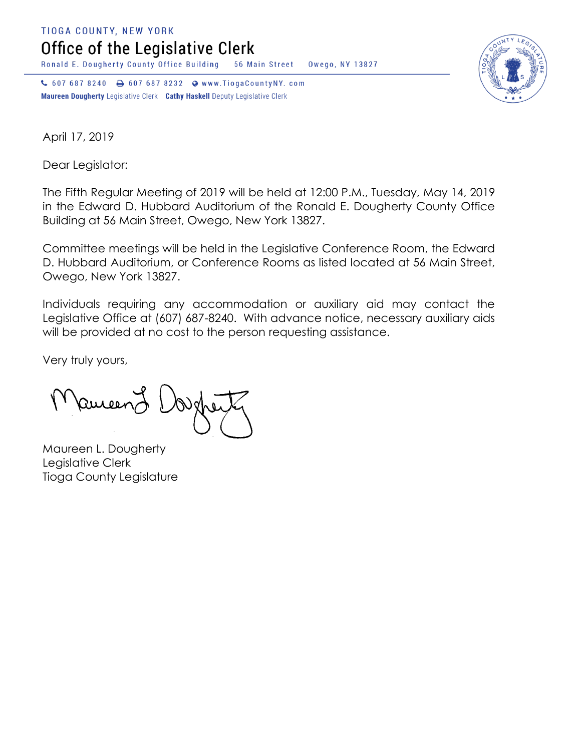**TIOGA COUNTY, NEW YORK** 

Office of the Legislative Clerk

Ronald E. Dougherty County Office Building 56 Main Street Owego, NY 13827

↓ 607 687 8240 → 607 687 8232 • www.TiogaCountyNY.com Maureen Dougherty Legislative Clerk Cathy Haskell Deputy Legislative Clerk



April 17, 2019

Dear Legislator:

The Fifth Regular Meeting of 2019 will be held at 12:00 P.M., Tuesday, May 14, 2019 in the Edward D. Hubbard Auditorium of the Ronald E. Dougherty County Office Building at 56 Main Street, Owego, New York 13827.

Committee meetings will be held in the Legislative Conference Room, the Edward D. Hubbard Auditorium, or Conference Rooms as listed located at 56 Main Street, Owego, New York 13827.

Individuals requiring any accommodation or auxiliary aid may contact the Legislative Office at (607) 687-8240. With advance notice, necessary auxiliary aids will be provided at no cost to the person requesting assistance.

Very truly yours,

Ruceen

Maureen L. Dougherty Legislative Clerk Tioga County Legislature